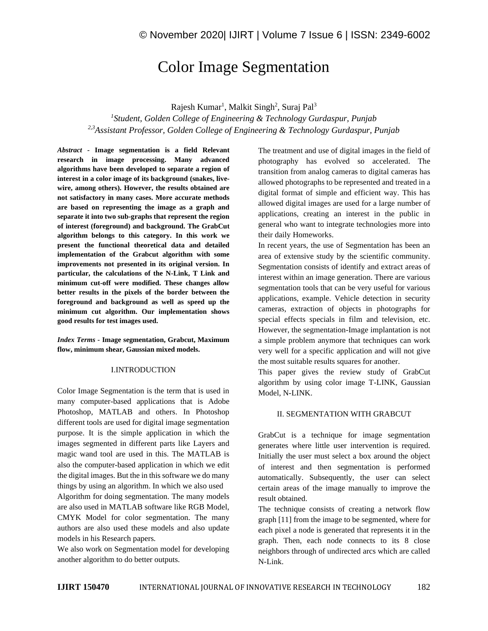# Color Image Segmentation

## Rajesh Kumar<sup>1</sup>, Malkit Singh<sup>2</sup>, Suraj Pal<sup>3</sup>

*1 Student, Golden College of Engineering & Technology Gurdaspur, Punjab 2,3Assistant Professor, Golden College of Engineering & Technology Gurdaspur, Punjab* 

*Abstract -* **Image segmentation is a field Relevant research in image processing. Many advanced algorithms have been developed to separate a region of interest in a color image of its background (snakes, livewire, among others). However, the results obtained are not satisfactory in many cases. More accurate methods are based on representing the image as a graph and separate it into two sub-graphs that represent the region of interest (foreground) and background. The GrabCut algorithm belongs to this category. In this work we present the functional theoretical data and detailed implementation of the Grabcut algorithm with some improvements not presented in its original version. In particular, the calculations of the N-Link, T Link and minimum cut-off were modified. These changes allow better results in the pixels of the border between the foreground and background as well as speed up the minimum cut algorithm. Our implementation shows good results for test images used.**

*Index Terms -* **Image segmentation, Grabcut, Maximum flow, minimum shear, Gaussian mixed models.**

### I.INTRODUCTION

Color Image Segmentation is the term that is used in many computer-based applications that is Adobe Photoshop, MATLAB and others. In Photoshop different tools are used for digital image segmentation purpose. It is the simple application in which the images segmented in different parts like Layers and magic wand tool are used in this. The MATLAB is also the computer-based application in which we edit the digital images. But the in this software we do many things by using an algorithm. In which we also used

Algorithm for doing segmentation. The many models are also used in MATLAB software like RGB Model, CMYK Model for color segmentation. The many authors are also used these models and also update models in his Research papers.

We also work on Segmentation model for developing another algorithm to do better outputs.

The treatment and use of digital images in the field of photography has evolved so accelerated. The transition from analog cameras to digital cameras has allowed photographs to be represented and treated in a digital format of simple and efficient way. This has allowed digital images are used for a large number of applications, creating an interest in the public in general who want to integrate technologies more into their daily Homeworks.

In recent years, the use of Segmentation has been an area of extensive study by the scientific community. Segmentation consists of identify and extract areas of interest within an image generation. There are various segmentation tools that can be very useful for various applications, example. Vehicle detection in security cameras, extraction of objects in photographs for special effects specials in film and television, etc. However, the segmentation-Image implantation is not a simple problem anymore that techniques can work very well for a specific application and will not give the most suitable results squares for another.

This paper gives the review study of GrabCut algorithm by using color image T-LINK, Gaussian Model, N-LINK.

#### II. SEGMENTATION WITH GRABCUT

GrabCut is a technique for image segmentation generates where little user intervention is required. Initially the user must select a box around the object of interest and then segmentation is performed automatically. Subsequently, the user can select certain areas of the image manually to improve the result obtained.

The technique consists of creating a network flow graph [11] from the image to be segmented, where for each pixel a node is generated that represents it in the graph. Then, each node connects to its 8 close neighbors through of undirected arcs which are called N-Link.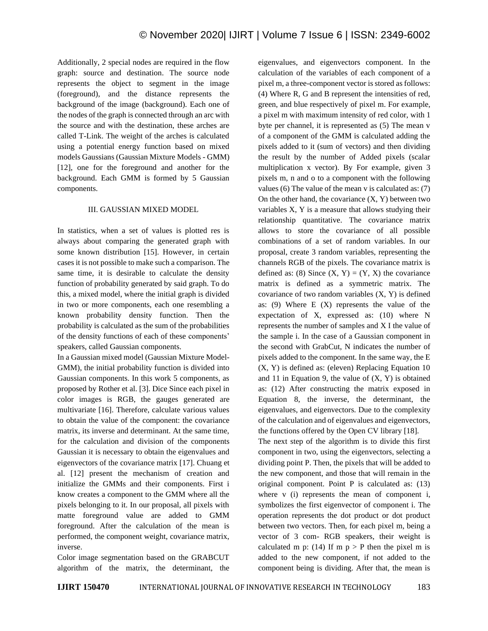Additionally, 2 special nodes are required in the flow graph: source and destination. The source node represents the object to segment in the image (foreground), and the distance represents the background of the image (background). Each one of the nodes of the graph is connected through an arc with the source and with the destination, these arches are called T-Link. The weight of the arches is calculated using a potential energy function based on mixed models Gaussians (Gaussian Mixture Models - GMM) [12], one for the foreground and another for the background. Each GMM is formed by 5 Gaussian components.

## III. GAUSSIAN MIXED MODEL

In statistics, when a set of values is plotted res is always about comparing the generated graph with some known distribution [15]. However, in certain cases it is not possible to make such a comparison. The same time, it is desirable to calculate the density function of probability generated by said graph. To do this, a mixed model, where the initial graph is divided in two or more components, each one resembling a known probability density function. Then the probability is calculated as the sum of the probabilities of the density functions of each of these components' speakers, called Gaussian components.

In a Gaussian mixed model (Gaussian Mixture Model-GMM), the initial probability function is divided into Gaussian components. In this work 5 components, as proposed by Rother et al. [3]. Dice Since each pixel in color images is RGB, the gauges generated are multivariate [16]. Therefore, calculate various values to obtain the value of the component: the covariance matrix, its inverse and determinant. At the same time, for the calculation and division of the components Gaussian it is necessary to obtain the eigenvalues and eigenvectors of the covariance matrix [17]. Chuang et al. [12] present the mechanism of creation and initialize the GMMs and their components. First i know creates a component to the GMM where all the pixels belonging to it. In our proposal, all pixels with matte foreground value are added to GMM foreground. After the calculation of the mean is performed, the component weight, covariance matrix, inverse.

Color image segmentation based on the GRABCUT algorithm of the matrix, the determinant, the eigenvalues, and eigenvectors component. In the calculation of the variables of each component of a pixel m, a three-component vector is stored as follows: (4) Where R, G and B represent the intensities of red, green, and blue respectively of pixel m. For example, a pixel m with maximum intensity of red color, with 1 byte per channel, it is represented as (5) The mean v of a component of the GMM is calculated adding the pixels added to it (sum of vectors) and then dividing the result by the number of Added pixels (scalar multiplication x vector). By For example, given 3 pixels m, n and o to a component with the following values (6) The value of the mean v is calculated as: (7) On the other hand, the covariance  $(X, Y)$  between two variables X, Y is a measure that allows studying their relationship quantitative. The covariance matrix allows to store the covariance of all possible combinations of a set of random variables. In our proposal, create 3 random variables, representing the channels RGB of the pixels. The covariance matrix is defined as: (8) Since  $(X, Y) = (Y, X)$  the covariance matrix is defined as a symmetric matrix. The covariance of two random variables  $(X, Y)$  is defined as:  $(9)$  Where E  $(X)$  represents the value of the expectation of X, expressed as: (10) where N represents the number of samples and X I the value of the sample i. In the case of a Gaussian component in the second with GrabCut, N indicates the number of pixels added to the component. In the same way, the E (X, Y) is defined as: (eleven) Replacing Equation 10 and 11 in Equation 9, the value of  $(X, Y)$  is obtained as: (12) After constructing the matrix exposed in Equation 8, the inverse, the determinant, the eigenvalues, and eigenvectors. Due to the complexity of the calculation and of eigenvalues and eigenvectors, the functions offered by the Open CV library [18].

The next step of the algorithm is to divide this first component in two, using the eigenvectors, selecting a dividing point P. Then, the pixels that will be added to the new component, and those that will remain in the original component. Point P is calculated as: (13) where v (i) represents the mean of component i, symbolizes the first eigenvector of component i. The operation represents the dot product or dot product between two vectors. Then, for each pixel m, being a vector of 3 com- RGB speakers, their weight is calculated m p: (14) If m  $p > P$  then the pixel m is added to the new component, if not added to the component being is dividing. After that, the mean is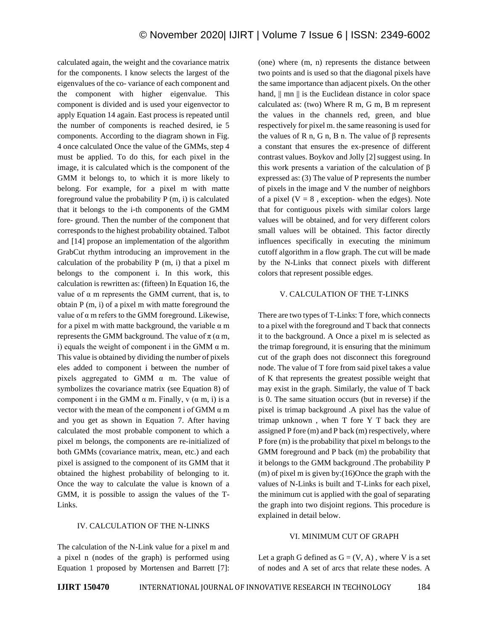calculated again, the weight and the covariance matrix for the components. I know selects the largest of the eigenvalues of the co- variance of each component and the component with higher eigenvalue. This component is divided and is used your eigenvector to apply Equation 14 again. East process is repeated until the number of components is reached desired, ie 5 components. According to the diagram shown in Fig. 4 once calculated Once the value of the GMMs, step 4 must be applied. To do this, for each pixel in the image, it is calculated which is the component of the GMM it belongs to, to which it is more likely to belong. For example, for a pixel m with matte foreground value the probability P (m, i) is calculated that it belongs to the i-th components of the GMM fore- ground. Then the number of the component that corresponds to the highest probability obtained. Talbot and [14] propose an implementation of the algorithm GrabCut rhythm introducing an improvement in the calculation of the probability  $P(m, i)$  that a pixel m belongs to the component i. In this work, this calculation is rewritten as: (fifteen) In Equation 16, the value of  $\alpha$  m represents the GMM current, that is, to obtain P (m, i) of a pixel m with matte foreground the value of  $\alpha$  m refers to the GMM foreground. Likewise, for a pixel m with matte background, the variable  $\alpha$  m represents the GMM background. The value of π (α m, i) equals the weight of component i in the GMM  $\alpha$  m. This value is obtained by dividing the number of pixels eles added to component i between the number of pixels aggregated to GMM α m. The value of symbolizes the covariance matrix (see Equation 8) of component i in the GMM  $\alpha$  m. Finally, v  $(\alpha$  m, i) is a vector with the mean of the component i of GMM  $\alpha$  m and you get as shown in Equation 7. After having calculated the most probable component to which a pixel m belongs, the components are re-initialized of both GMMs (covariance matrix, mean, etc.) and each pixel is assigned to the component of its GMM that it obtained the highest probability of belonging to it. Once the way to calculate the value is known of a GMM, it is possible to assign the values of the T-Links.

### IV. CALCULATION OF THE N-LINKS

The calculation of the N-Link value for a pixel m and a pixel n (nodes of the graph) is performed using Equation 1 proposed by Mortensen and Barrett [7]: (one) where (m, n) represents the distance between two points and is used so that the diagonal pixels have the same importance than adjacent pixels. On the other hand,  $\parallel$  mn  $\parallel$  is the Euclidean distance in color space calculated as: (two) Where R m, G m, B m represent the values in the channels red, green, and blue respectively for pixel m. the same reasoning is used for the values of R n, G n, B n. The value of β represents a constant that ensures the ex-presence of different contrast values. Boykov and Jolly [2] suggest using. In this work presents a variation of the calculation of β expressed as: (3) The value of P represents the number of pixels in the image and V the number of neighbors of a pixel ( $V = 8$ , exception- when the edges). Note that for contiguous pixels with similar colors large values will be obtained, and for very different colors small values will be obtained. This factor directly influences specifically in executing the minimum cutoff algorithm in a flow graph. The cut will be made by the N-Links that connect pixels with different colors that represent possible edges.

## V. CALCULATION OF THE T-LINKS

There are two types of T-Links: T fore, which connects to a pixel with the foreground and T back that connects it to the background. A Once a pixel m is selected as the trimap foreground, it is ensuring that the minimum cut of the graph does not disconnect this foreground node. The value of T fore from said pixel takes a value of K that represents the greatest possible weight that may exist in the graph. Similarly, the value of T back is 0. The same situation occurs (but in reverse) if the pixel is trimap background .A pixel has the value of trimap unknown , when T fore Y T back they are assigned P fore (m) and P back (m) respectively, where P fore (m) is the probability that pixel m belongs to the GMM foreground and P back (m) the probability that it belongs to the GMM background .The probability P (m) of pixel m is given by:(16)Once the graph with the values of N-Links is built and T-Links for each pixel, the minimum cut is applied with the goal of separating the graph into two disjoint regions. This procedure is explained in detail below.

### VI. MINIMUM CUT OF GRAPH

Let a graph G defined as  $G = (V, A)$ , where V is a set of nodes and A set of arcs that relate these nodes. A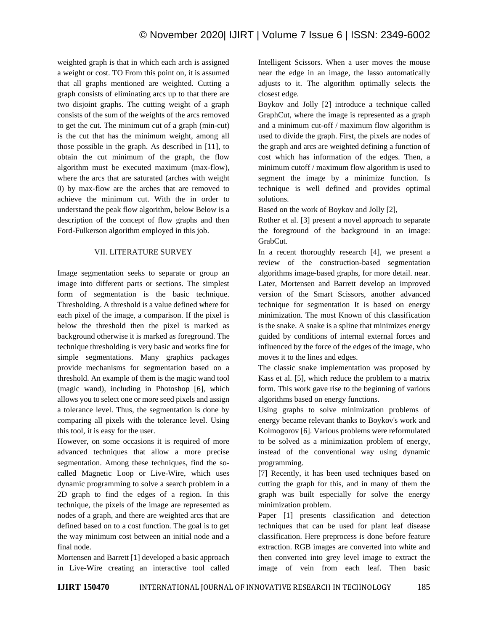weighted graph is that in which each arch is assigned a weight or cost. TO From this point on, it is assumed that all graphs mentioned are weighted. Cutting a graph consists of eliminating arcs up to that there are two disjoint graphs. The cutting weight of a graph consists of the sum of the weights of the arcs removed to get the cut. The minimum cut of a graph (min-cut) is the cut that has the minimum weight, among all those possible in the graph. As described in [11], to obtain the cut minimum of the graph, the flow algorithm must be executed maximum (max-flow), where the arcs that are saturated (arches with weight 0) by max-flow are the arches that are removed to achieve the minimum cut. With the in order to understand the peak flow algorithm, below Below is a description of the concept of flow graphs and then Ford-Fulkerson algorithm employed in this job.

# VII. LITERATURE SURVEY

Image segmentation seeks to separate or group an image into different parts or sections. The simplest form of segmentation is the basic technique. Thresholding. A threshold is a value defined where for each pixel of the image, a comparison. If the pixel is below the threshold then the pixel is marked as background otherwise it is marked as foreground. The technique thresholding is very basic and works fine for simple segmentations. Many graphics packages provide mechanisms for segmentation based on a threshold. An example of them is the magic wand tool (magic wand), including in Photoshop [6], which allows you to select one or more seed pixels and assign a tolerance level. Thus, the segmentation is done by comparing all pixels with the tolerance level. Using this tool, it is easy for the user.

However, on some occasions it is required of more advanced techniques that allow a more precise segmentation. Among these techniques, find the socalled Magnetic Loop or Live-Wire, which uses dynamic programming to solve a search problem in a 2D graph to find the edges of a region. In this technique, the pixels of the image are represented as nodes of a graph, and there are weighted arcs that are defined based on to a cost function. The goal is to get the way minimum cost between an initial node and a final node.

Mortensen and Barrett [1] developed a basic approach in Live-Wire creating an interactive tool called Intelligent Scissors. When a user moves the mouse near the edge in an image, the lasso automatically adjusts to it. The algorithm optimally selects the closest edge.

Boykov and Jolly [2] introduce a technique called GraphCut, where the image is represented as a graph and a minimum cut-off / maximum flow algorithm is used to divide the graph. First, the pixels are nodes of the graph and arcs are weighted defining a function of cost which has information of the edges. Then, a minimum cutoff / maximum flow algorithm is used to segment the image by a minimize function. Is technique is well defined and provides optimal solutions.

Based on the work of Boykov and Jolly [2],

Rother et al. [3] present a novel approach to separate the foreground of the background in an image: GrabCut.

In a recent thoroughly research [4], we present a review of the construction-based segmentation algorithms image-based graphs, for more detail. near. Later, Mortensen and Barrett develop an improved version of the Smart Scissors, another advanced technique for segmentation It is based on energy minimization. The most Known of this classification is the snake. A snake is a spline that minimizes energy guided by conditions of internal external forces and influenced by the force of the edges of the image, who moves it to the lines and edges.

The classic snake implementation was proposed by Kass et al. [5], which reduce the problem to a matrix form. This work gave rise to the beginning of various algorithms based on energy functions.

Using graphs to solve minimization problems of energy became relevant thanks to Boykov's work and Kolmogorov [6]. Various problems were reformulated to be solved as a minimization problem of energy, instead of the conventional way using dynamic programming.

[7] Recently, it has been used techniques based on cutting the graph for this, and in many of them the graph was built especially for solve the energy minimization problem.

Paper [1] presents classification and detection techniques that can be used for plant leaf disease classification. Here preprocess is done before feature extraction. RGB images are converted into white and then converted into grey level image to extract the image of vein from each leaf. Then basic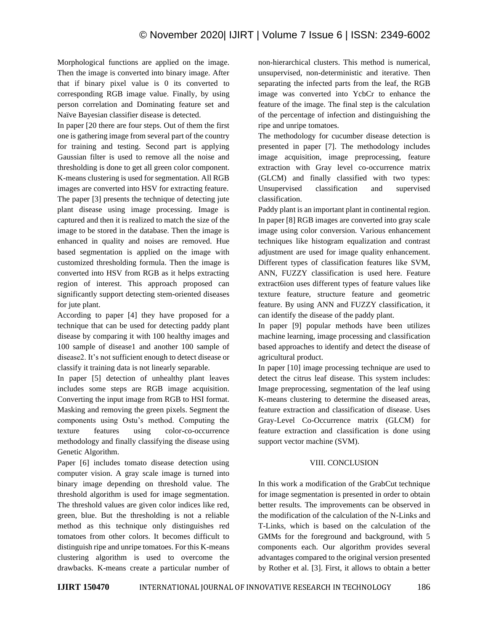Morphological functions are applied on the image. Then the image is converted into binary image. After that if binary pixel value is 0 its converted to corresponding RGB image value. Finally, by using person correlation and Dominating feature set and Naïve Bayesian classifier disease is detected.

In paper [20 there are four steps. Out of them the first one is gathering image from several part of the country for training and testing. Second part is applying Gaussian filter is used to remove all the noise and thresholding is done to get all green color component. K-means clustering is used for segmentation. All RGB images are converted into HSV for extracting feature. The paper [3] presents the technique of detecting jute plant disease using image processing. Image is captured and then it is realized to match the size of the image to be stored in the database. Then the image is enhanced in quality and noises are removed. Hue based segmentation is applied on the image with customized thresholding formula. Then the image is converted into HSV from RGB as it helps extracting region of interest. This approach proposed can significantly support detecting stem-oriented diseases for jute plant.

According to paper [4] they have proposed for a technique that can be used for detecting paddy plant disease by comparing it with 100 healthy images and 100 sample of disease1 and another 100 sample of disease2. It's not sufficient enough to detect disease or classify it training data is not linearly separable.

In paper [5] detection of unhealthy plant leaves includes some steps are RGB image acquisition. Converting the input image from RGB to HSI format. Masking and removing the green pixels. Segment the components using Ostu's method. Computing the texture features using color-co-occurrence methodology and finally classifying the disease using Genetic Algorithm.

Paper [6] includes tomato disease detection using computer vision. A gray scale image is turned into binary image depending on threshold value. The threshold algorithm is used for image segmentation. The threshold values are given color indices like red, green, blue. But the thresholding is not a reliable method as this technique only distinguishes red tomatoes from other colors. It becomes difficult to distinguish ripe and unripe tomatoes. For this K-means clustering algorithm is used to overcome the drawbacks. K-means create a particular number of non-hierarchical clusters. This method is numerical, unsupervised, non-deterministic and iterative. Then separating the infected parts from the leaf, the RGB image was converted into YcbCr to enhance the feature of the image. The final step is the calculation of the percentage of infection and distinguishing the ripe and unripe tomatoes.

The methodology for cucumber disease detection is presented in paper [7]. The methodology includes image acquisition, image preprocessing, feature extraction with Gray level co-occurrence matrix (GLCM) and finally classified with two types: Unsupervised classification and supervised classification.

Paddy plant is an important plant in continental region. In paper [8] RGB images are converted into gray scale image using color conversion. Various enhancement techniques like histogram equalization and contrast adjustment are used for image quality enhancement. Different types of classification features like SVM, ANN, FUZZY classification is used here. Feature extract6ion uses different types of feature values like texture feature, structure feature and geometric feature. By using ANN and FUZZY classification, it can identify the disease of the paddy plant.

In paper [9] popular methods have been utilizes machine learning, image processing and classification based approaches to identify and detect the disease of agricultural product.

In paper [10] image processing technique are used to detect the citrus leaf disease. This system includes: Image preprocessing, segmentation of the leaf using K-means clustering to determine the diseased areas, feature extraction and classification of disease. Uses Gray-Level Co-Occurrence matrix (GLCM) for feature extraction and classification is done using support vector machine (SVM).

## VIII. CONCLUSION

In this work a modification of the GrabCut technique for image segmentation is presented in order to obtain better results. The improvements can be observed in the modification of the calculation of the N-Links and T-Links, which is based on the calculation of the GMMs for the foreground and background, with 5 components each. Our algorithm provides several advantages compared to the original version presented by Rother et al. [3]. First, it allows to obtain a better